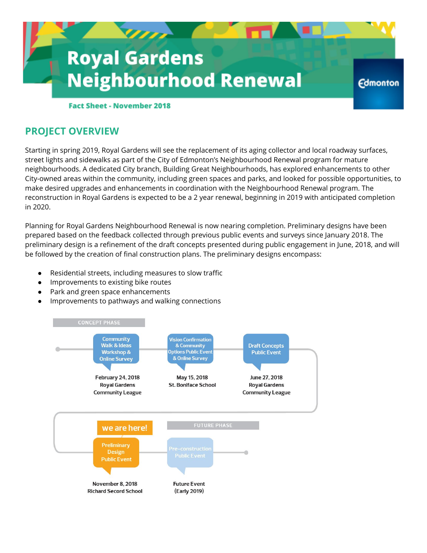

## **Fact Sheet - November 2018**

## **PROJECT OVERVIEW**

Starting in spring 2019, Royal Gardens will see the replacement of its aging collector and local roadway surfaces, street lights and sidewalks as part of the City of Edmonton's Neighbourhood Renewal program for mature neighbourhoods. A dedicated City branch, Building Great Neighbourhoods, has explored enhancements to other City-owned areas within the community, including green spaces and parks, and looked for possible opportunities, to make desired upgrades and enhancements in coordination with the Neighbourhood Renewal program. The reconstruction in Royal Gardens is expected to be a 2 year renewal, beginning in 2019 with anticipated completion in 2020.

Planning for Royal Gardens Neighbourhood Renewal is now nearing completion. Preliminary designs have been prepared based on the feedback collected through previous public events and surveys since January 2018. The preliminary design is a refinement of the draft concepts presented during public engagement in June, 2018, and will be followed by the creation of final construction plans. The preliminary designs encompass:

- Residential streets, including measures to slow traffic
- Improvements to existing bike routes
- Park and green space enhancements
- Improvements to pathways and walking connections